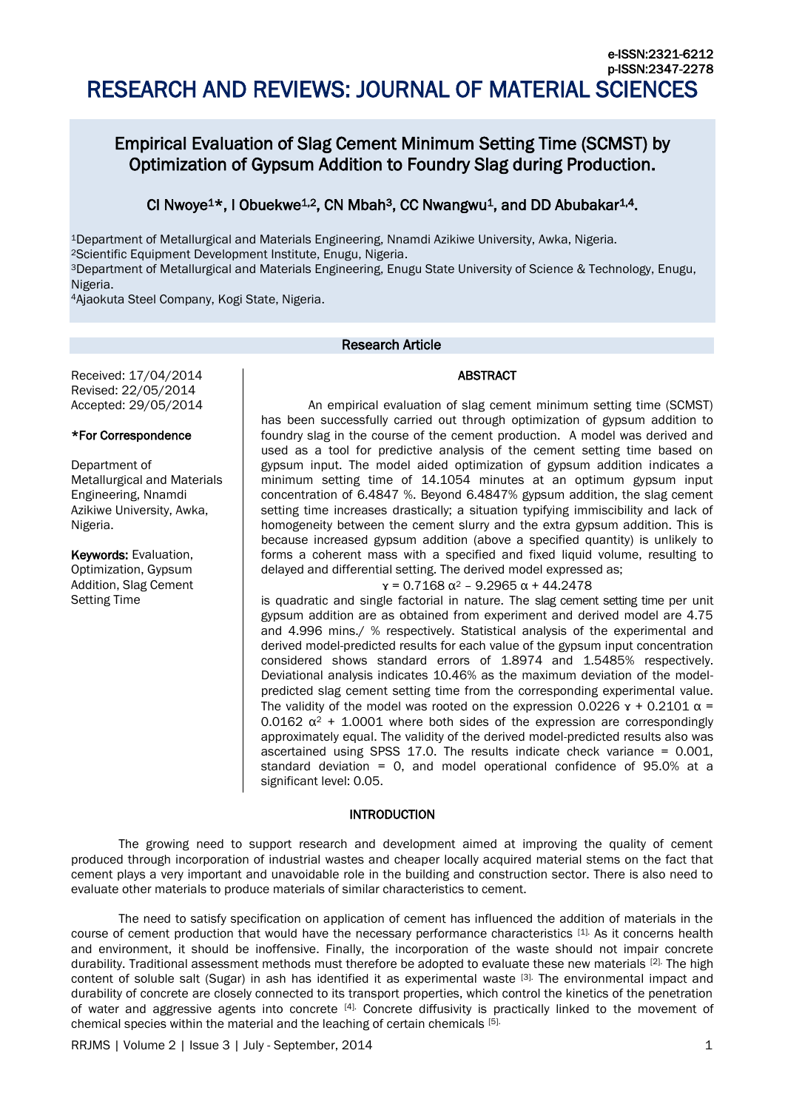# Empirical Evaluation of Slag Cement Minimum Setting Time (SCMST) by Optimization of Gypsum Addition to Foundry Slag during Production.

## CI Nwoye<sup>1\*</sup>, I Obuekwe<sup>1,2</sup>, CN Mbah<sup>3</sup>, CC Nwangwu<sup>1</sup>, and DD Abubakar<sup>1,4</sup>.

<sup>1</sup>Department of Metallurgical and Materials Engineering, Nnamdi Azikiwe University, Awka, Nigeria.

<sup>2</sup>Scientific Equipment Development Institute, Enugu, Nigeria.

<sup>3</sup>Department of Metallurgical and Materials Engineering, Enugu State University of Science & Technology, Enugu, Nigeria.

<sup>4</sup>Ajaokuta Steel Company, Kogi State, Nigeria.

## Research Article

### ABSTRACT

Received: 17/04/2014 Revised: 22/05/2014 Accepted: 29/05/2014

#### \*For Correspondence

Department of Metallurgical and Materials Engineering, Nnamdi Azikiwe University, Awka, Nigeria.

Keywords: Evaluation, Optimization, Gypsum Addition, Slag Cement Setting Time

An empirical evaluation of slag cement minimum setting time (SCMST) has been successfully carried out through optimization of gypsum addition to foundry slag in the course of the cement production. A model was derived and used as a tool for predictive analysis of the cement setting time based on gypsum input. The model aided optimization of gypsum addition indicates a minimum setting time of 14.1054 minutes at an optimum gypsum input concentration of 6.4847 %. Beyond 6.4847% gypsum addition, the slag cement setting time increases drastically; a situation typifying immiscibility and lack of homogeneity between the cement slurry and the extra gypsum addition. This is because increased gypsum addition (above a specified quantity) is unlikely to forms a coherent mass with a specified and fixed liquid volume, resulting to delayed and differential setting. The derived model expressed as;

## $x = 0.7168 \alpha^2 - 9.2965 \alpha + 44.2478$

is quadratic and single factorial in nature. The slag cement setting time per unit gypsum addition are as obtained from experiment and derived model are 4.75 and 4.996 mins./ % respectively. Statistical analysis of the experimental and derived model-predicted results for each value of the gypsum input concentration considered shows standard errors of 1.8974 and 1.5485% respectively. Deviational analysis indicates 10.46% as the maximum deviation of the modelpredicted slag cement setting time from the corresponding experimental value. The validity of the model was rooted on the expression 0.0226  $x + 0.2101 \alpha =$ 0.0162  $\alpha^2$  + 1.0001 where both sides of the expression are correspondingly approximately equal. The validity of the derived model-predicted results also was ascertained using SPSS 17.0. The results indicate check variance = 0.001, standard deviation = 0, and model operational confidence of 95.0% at a significant level: 0.05.

#### **INTRODUCTION**

The growing need to support research and development aimed at improving the quality of cement produced through incorporation of industrial wastes and cheaper locally acquired material stems on the fact that cement plays a very important and unavoidable role in the building and construction sector. There is also need to evaluate other materials to produce materials of similar characteristics to cement.

The need to satisfy specification on application of cement has influenced the addition of materials in the course of cement production that would have the necessary performance characteristics [1]. As it concerns health and environment, it should be inoffensive. Finally, the incorporation of the waste should not impair concrete durability. Traditional assessment methods must therefore be adopted to evaluate these new materials [2]. The high content of soluble salt (Sugar) in ash has identified it as experimental waste [3]. The environmental impact and durability of concrete are closely connected to its transport properties, which control the kinetics of the penetration of water and aggressive agents into concrete <sup>[4].</sup> Concrete diffusivity is practically linked to the movement of chemical species within the material and the leaching of certain chemicals [5].

RRJMS | Volume 2 | Issue 3 | July - September, 2014 1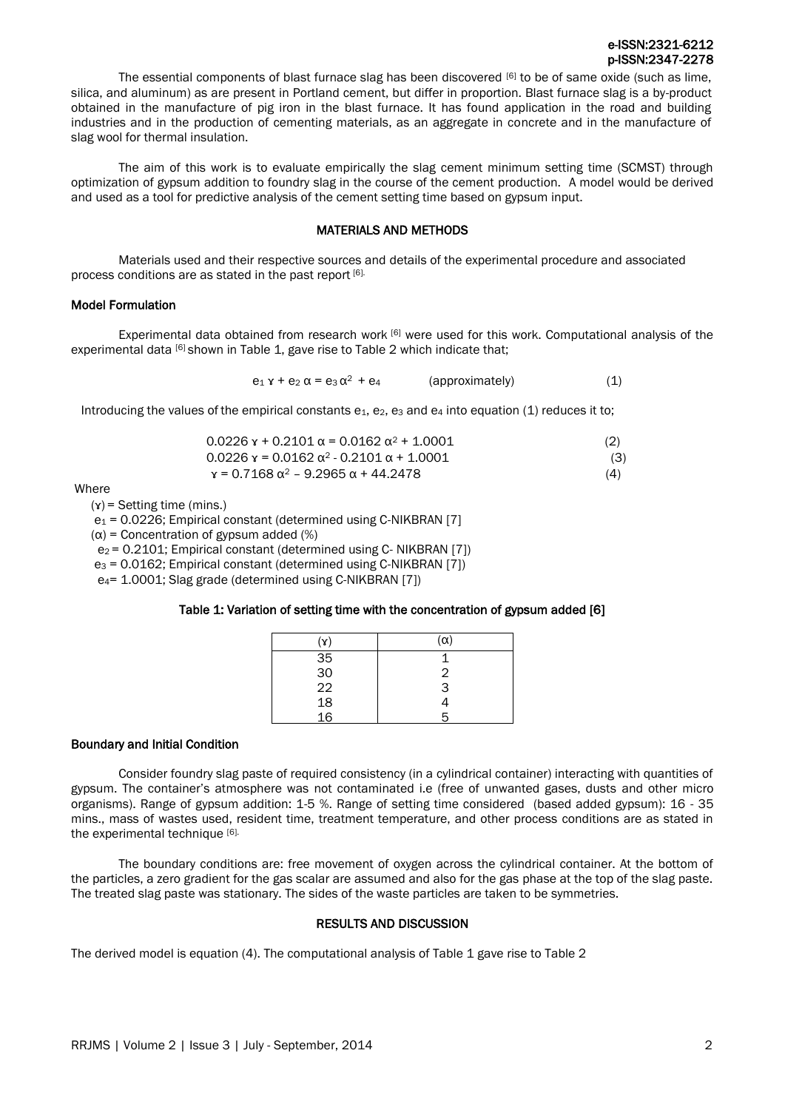## e-ISSN:2321-6212 p-ISSN:2347-2278

The essential components of blast furnace slag has been discovered  $[6]$  to be of same oxide (such as lime, silica, and aluminum) as are present in Portland cement, but differ in proportion. Blast furnace slag is a by-product obtained in the manufacture of pig iron in the blast furnace. It has found application in the road and building industries and in the production of cementing materials, as an aggregate in concrete and in the manufacture of slag wool for thermal insulation.

The aim of this work is to evaluate empirically the slag cement minimum setting time (SCMST) through optimization of gypsum addition to foundry slag in the course of the cement production. A model would be derived and used as a tool for predictive analysis of the cement setting time based on gypsum input.

## MATERIALS AND METHODS

Materials used and their respective sources and details of the experimental procedure and associated process conditions are as stated in the past report [6].

#### Model Formulation

Experimental data obtained from research work [6] were used for this work. Computational analysis of the experimental data [6] shown in Table 1, gave rise to Table 2 which indicate that;

 $e_1$  x +  $e_2$   $\alpha$  =  $e_3 \alpha^2$  +  $e_4$  (approximately) (1)

Introducing the values of the empirical constants  $e_1$ ,  $e_2$ ,  $e_3$  and  $e_4$  into equation (1) reduces it to;

| $0.0226$ x + 0.2101 $\alpha$ = 0.0162 $\alpha$ <sup>2</sup> + 1.0001 |  |
|----------------------------------------------------------------------|--|
| $0.0226$ y = 0.0162 $\alpha^2$ - 0.2101 $\alpha$ + 1.0001            |  |

 $x = 0.7168 \alpha^2 - 9.2965 \alpha + 44.2478$  (4)

Where

 $(y)$  = Setting time (mins.)

e<sup>1</sup> = 0.0226; Empirical constant (determined using C-NIKBRAN [7]

 $(\alpha)$  = Concentration of gypsum added (%)

e2 = 0.2101; Empirical constant (determined using C- NIKBRAN [7])

e<sup>3</sup> = 0.0162; Empirical constant (determined using C-NIKBRAN [7])

e4= 1.0001; Slag grade (determined using C-NIKBRAN [7])

#### Table 1: Variation of setting time with the concentration of gypsum added [6]

| $\left( \mathbf{y}\right)$ | (α) |
|----------------------------|-----|
|                            |     |
|                            | 2   |
|                            | 3   |
| 35<br>30<br>22<br>18<br>16 |     |
|                            |     |

#### Boundary and Initial Condition

Consider foundry slag paste of required consistency (in a cylindrical container) interacting with quantities of gypsum. The container's atmosphere was not contaminated i.e (free of unwanted gases, dusts and other micro organisms). Range of gypsum addition: 1-5 %. Range of setting time considered (based added gypsum): 16 - 35 mins., mass of wastes used, resident time, treatment temperature, and other process conditions are as stated in the experimental technique [6].

The boundary conditions are: free movement of oxygen across the cylindrical container. At the bottom of the particles, a zero gradient for the gas scalar are assumed and also for the gas phase at the top of the slag paste. The treated slag paste was stationary. The sides of the waste particles are taken to be symmetries.

## RESULTS AND DISCUSSION

The derived model is equation (4). The computational analysis of Table 1 gave rise to Table 2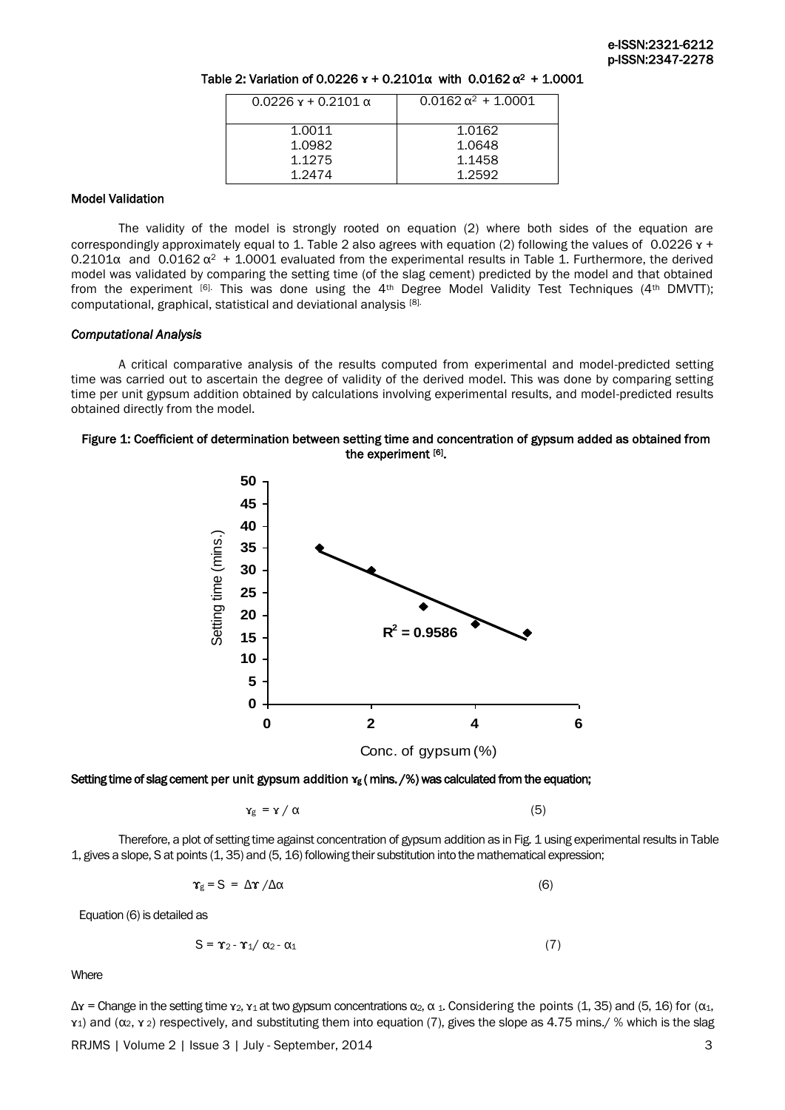| $0.0226x + 0.2101 \alpha$ | $0.0162 \alpha^2 + 1.0001$ |
|---------------------------|----------------------------|
| 1.0011                    | 1.0162                     |
| 1.0982                    | 1.0648                     |
| 1.1275                    | 1.1458                     |
| 1.2474                    | 1.2592                     |

## Table 2: Variation of 0.0226 **x** + 0.2101α with 0.0162 α<sup>2</sup> + 1.0001

#### Model Validation

The validity of the model is strongly rooted on equation (2) where both sides of the equation are correspondingly approximately equal to 1. Table 2 also agrees with equation (2) following the values of 0.0226  $\texttt{x}$  + 0.2101 $\alpha$  and 0.0162  $\alpha^2$  + 1.0001 evaluated from the experimental results in Table 1. Furthermore, the derived model was validated by comparing the setting time (of the slag cement) predicted by the model and that obtained from the experiment  $[6]$ . This was done using the 4<sup>th</sup> Degree Model Validity Test Techniques (4<sup>th</sup> DMVTT); computational, graphical, statistical and deviational analysis [8].

#### *Computational Analysis*

A critical comparative analysis of the results computed from experimental and model-predicted setting time was carried out to ascertain the degree of validity of the derived model. This was done by comparing setting time per unit gypsum addition obtained by calculations involving experimental results, and model-predicted results obtained directly from the model.

#### Figure 1: Coefficient of determination between setting time and concentration of gypsum added as obtained from the experiment [6].



## Setting time of slag cement per unit gypsum addition *x***g** (mins. /%) was calculated from the equation;

$$
\gamma_{g} = \gamma / \alpha \tag{5}
$$

Therefore, a plot of setting time against concentration of gypsum addition as in Fig. 1 using experimental results in Table 1, gives a slope, S at points (1, 35) and (5, 16) following their substitution into the mathematical expression;

$$
\Upsilon_{g} = S = \Delta \Upsilon / \Delta \alpha \tag{6}
$$

Equation (6) is detailed as

$$
S = \Upsilon_2 - \Upsilon_1 / \alpha_2 - \alpha_1 \tag{7}
$$

**Where** 

 $\Delta$ **x** = Change in the setting time **x**<sub>2</sub>, **x**<sub>1</sub> at two gypsum concentrations  $\alpha$ <sub>2</sub>,  $\alpha$ <sub>3</sub>. Considering the points (1, 35) and (5, 16) for ( $\alpha$ <sub>1</sub>, ɤ1) and (α2, ɤ <sup>2</sup>) respectively, and substituting them into equation (7), gives the slope as 4.75 mins./ % which is the slag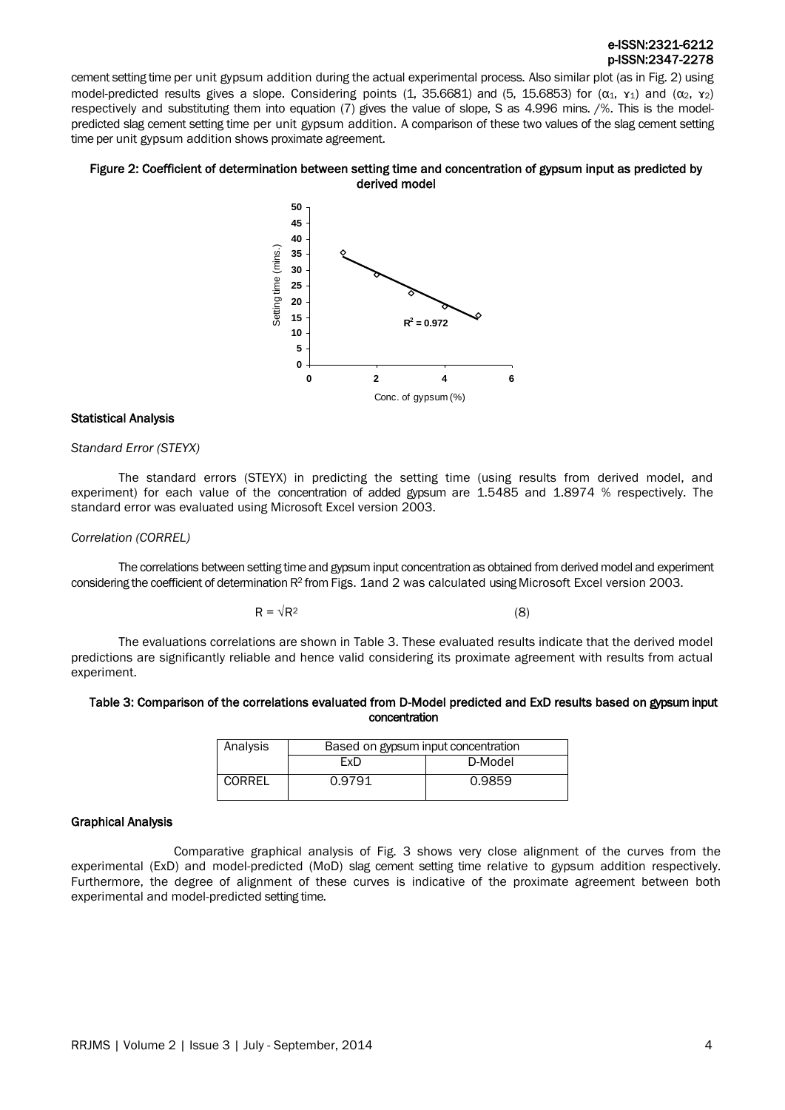## e-ISSN:2321-6212 p-ISSN:2347-2278

cement setting time per unit gypsum addition during the actual experimental process. Also similar plot (as in Fig. 2) using model-predicted results gives a slope. Considering points (1, 35.6681) and (5, 15.6853) for ( $\alpha_1$ ,  $\alpha_1$ ) and ( $\alpha_2$ ,  $\alpha_2$ ) respectively and substituting them into equation (7) gives the value of slope, S as 4.996 mins. /%. This is the modelpredicted slag cement setting time per unit gypsum addition. A comparison of these two values of the slag cement setting time per unit gypsum addition shows proximate agreement.

#### Figure 2: Coefficient of determination between setting time and concentration of gypsum input as predicted by derived model



#### Statistical Analysis

#### *Standard Error (STEYX)*

The standard errors (STEYX) in predicting the setting time (using results from derived model, and experiment) for each value of the concentration of added gypsum are 1.5485 and 1.8974 % respectively. The standard error was evaluated using Microsoft Excel version 2003.

#### *Correlation (CORREL)*

The correlations between setting time and gypsum input concentration as obtained from derived model and experiment considering the coefficient of determination R<sup>2</sup> from Figs. 1and 2 was calculated using Microsoft Excel version 2003.

$$
R = \sqrt{R^2} \tag{8}
$$

The evaluations correlations are shown in Table 3. These evaluated results indicate that the derived model predictions are significantly reliable and hence valid considering its proximate agreement with results from actual experiment.

#### Table 3: Comparison of the correlations evaluated from D-Model predicted and ExD results based on gypsum input concentration

| Analysis | Based on gypsum input concentration |         |
|----------|-------------------------------------|---------|
|          | FxD                                 | D-Model |
| CORREL   | 0.9791                              | 0.9859  |

#### Graphical Analysis

Comparative graphical analysis of Fig. 3 shows very close alignment of the curves from the experimental (ExD) and model-predicted (MoD) slag cement setting time relative to gypsum addition respectively. Furthermore, the degree of alignment of these curves is indicative of the proximate agreement between both experimental and model-predicted setting time.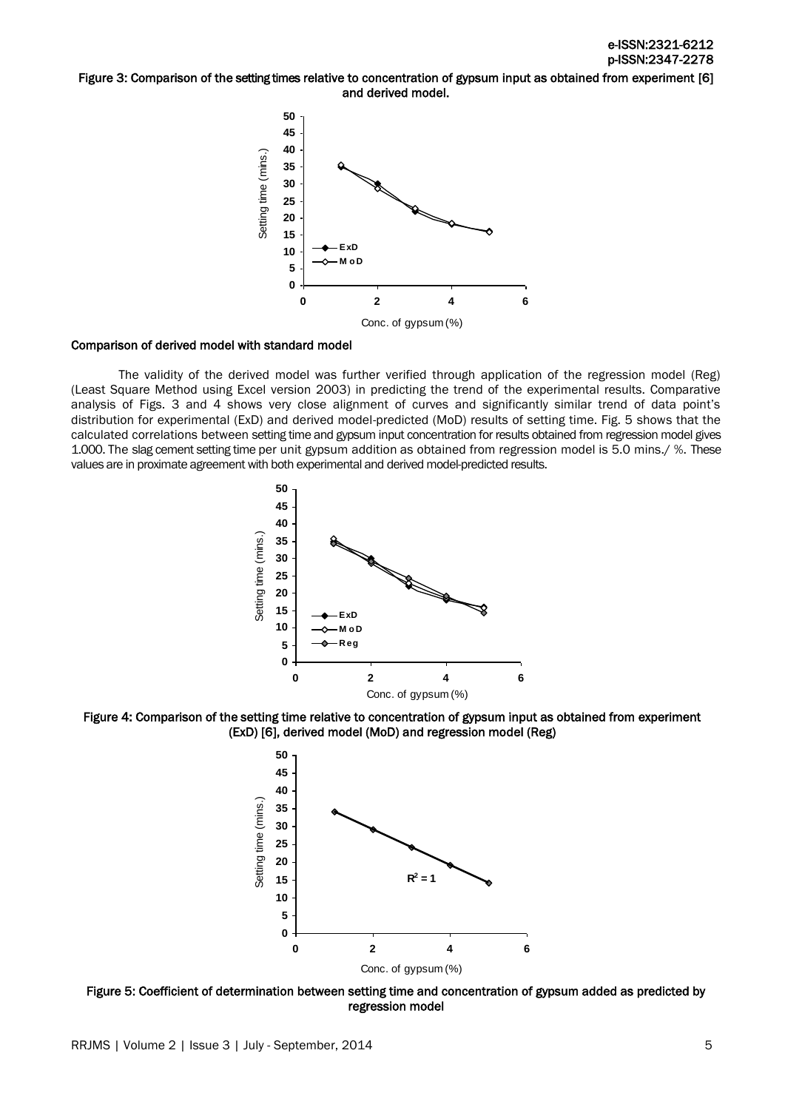#### Figure 3: Comparison of the setting times relative to concentration of gypsum input as obtained from experiment [6] and derived model.



#### Comparison of derived model with standard model

The validity of the derived model was further verified through application of the regression model (Reg) (Least Square Method using Excel version 2003) in predicting the trend of the experimental results. Comparative analysis of Figs. 3 and 4 shows very close alignment of curves and significantly similar trend of data point's distribution for experimental (ExD) and derived model-predicted (MoD) results of setting time. Fig. 5 shows that the calculated correlations between setting time and gypsum input concentration for results obtained from regression model gives 1.000. The slag cement setting time per unit gypsum addition as obtained from regression model is 5.0 mins./ %. These values are in proximate agreement with both experimental and derived model-predicted results.



Figure 4: Comparison of the setting time relative to concentration of gypsum input as obtained from experiment (ExD) [6], derived model (MoD) and regression model (Reg)



Figure 5: Coefficient of determination between setting time and concentration of gypsum added as predicted by regression model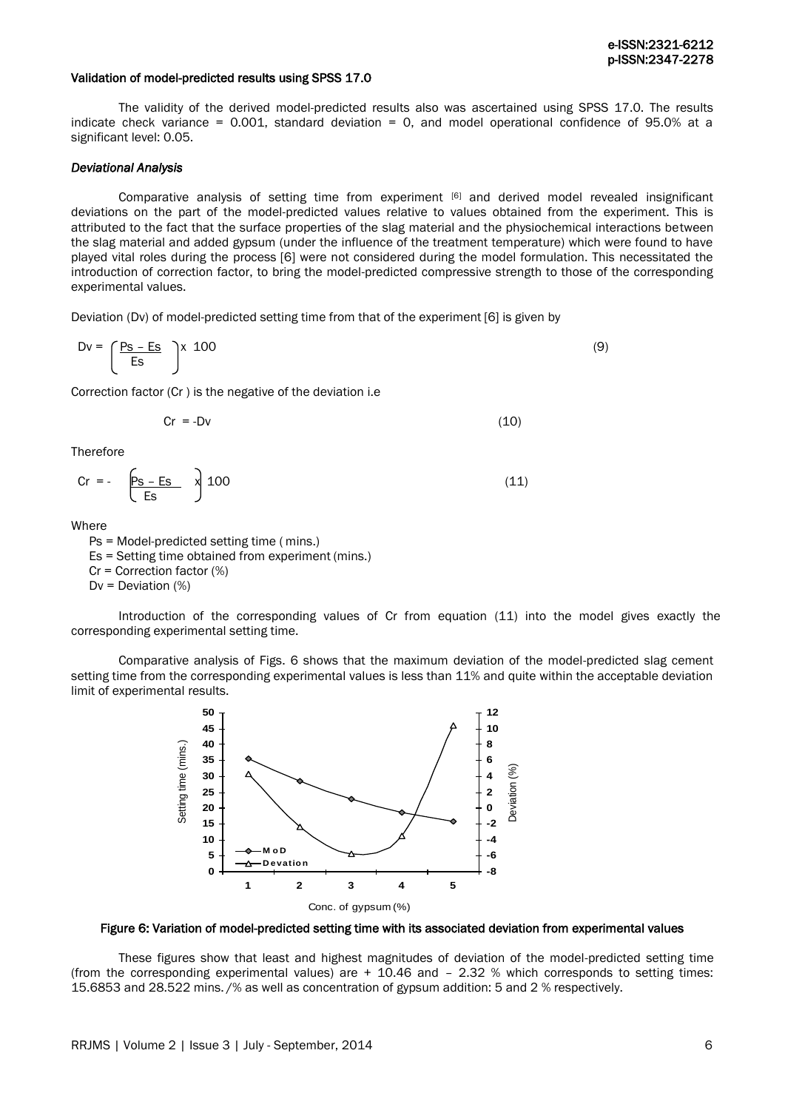#### Validation of model-predicted results using SPSS 17.0

The validity of the derived model-predicted results also was ascertained using SPSS 17.0. The results indicate check variance = 0.001, standard deviation = 0, and model operational confidence of 95.0% at a significant level: 0.05.

#### *Deviational Analysis*

Comparative analysis of setting time from experiment  $[6]$  and derived model revealed insignificant deviations on the part of the model-predicted values relative to values obtained from the experiment. This is attributed to the fact that the surface properties of the slag material and the physiochemical interactions between the slag material and added gypsum (under the influence of the treatment temperature) which were found to have played vital roles during the process [6] were not considered during the model formulation. This necessitated the introduction of correction factor, to bring the model-predicted compressive strength to those of the corresponding experimental values.

Deviation (Dv) of model-predicted setting time from that of the experiment [6] is given by

$$
Dv = \left(\frac{P_S - Es}{Es}\right) \times 100\tag{9}
$$

Correction factor (Cr ) is the negative of the deviation i.e

$$
Cr = -Dv \tag{10}
$$

**Therefore** 

$$
Cr = -\left[\frac{P_S - ES}{ES}\right]100\tag{11}
$$

Where

Ps = Model-predicted setting time ( mins.) Es = Setting time obtained from experiment (mins.)

Cr = Correction factor (%)

 $Dv = Deviation (%)$ 

Introduction of the corresponding values of Cr from equation (11) into the model gives exactly the corresponding experimental setting time.

Comparative analysis of Figs. 6 shows that the maximum deviation of the model-predicted slag cement setting time from the corresponding experimental values is less than 11% and quite within the acceptable deviation limit of experimental results.



Figure 6: Variation of model-predicted setting time with its associated deviation from experimental values

These figures show that least and highest magnitudes of deviation of the model-predicted setting time (from the corresponding experimental values) are  $+$  10.46 and  $-$  2.32 % which corresponds to setting times: 15.6853 and 28.522 mins. /% as well as concentration of gypsum addition: 5 and 2 % respectively.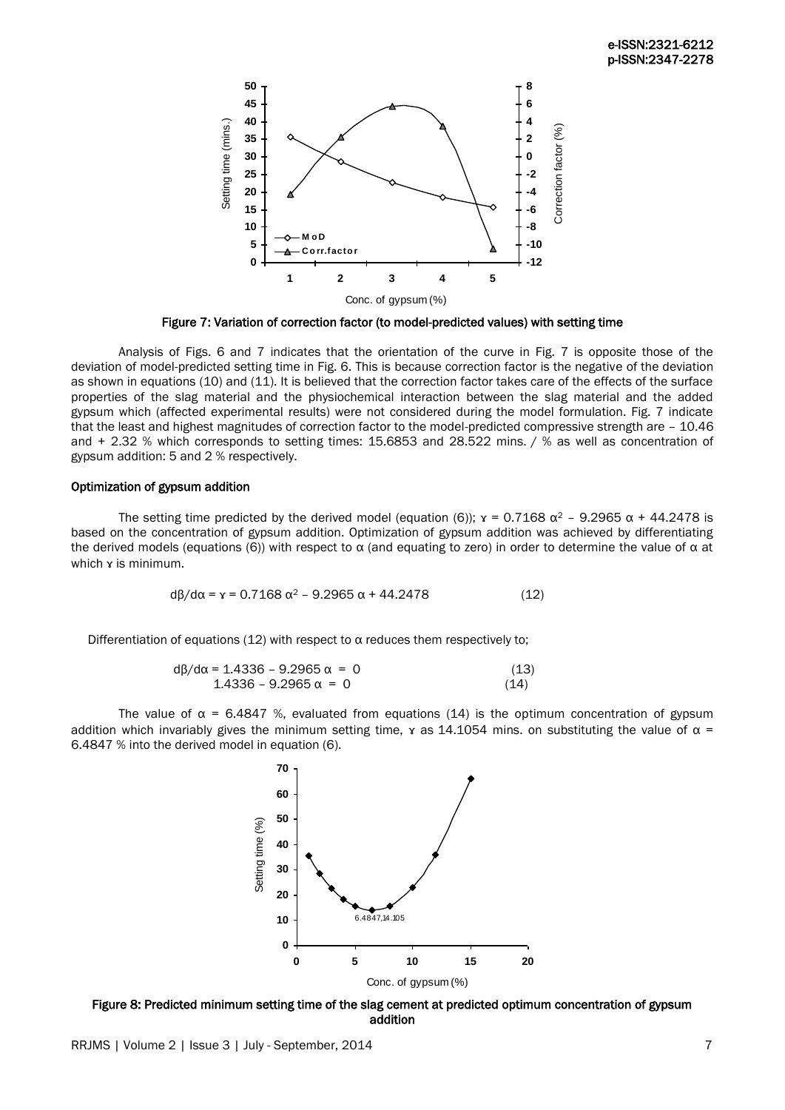

Figure 7: Variation of correction factor (to model-predicted values) with setting time

Analysis of Figs. 6 and 7 indicates that the orientation of the curve in Fig. 7 is opposite those of the deviation of model-predicted setting time in Fig. 6. This is because correction factor is the negative of the deviation as shown in equations (10) and (11). It is believed that the correction factor takes care of the effects of the surface properties of the slag material and the physiochemical interaction between the slag material and the added gypsum which (affected experimental results) were not considered during the model formulation. Fig. 7 indicate that the least and highest magnitudes of correction factor to the model-predicted compressive strength are – 10.46 and + 2.32 % which corresponds to setting times: 15.6853 and 28.522 mins. / % as well as concentration of gypsum addition: 5 and 2 % respectively.

## Optimization of gypsum addition

The setting time predicted by the derived model (equation (6));  $\gamma = 0.7168 \alpha^2 - 9.2965 \alpha + 44.2478$  is based on the concentration of gypsum addition. Optimization of gypsum addition was achieved by differentiating the derived models (equations (6)) with respect to  $\alpha$  (and equating to zero) in order to determine the value of  $\alpha$  at which x is minimum.

$$
d\beta/d\alpha = \gamma = 0.7168 \alpha^2 - 9.2965 \alpha + 44.2478
$$
 (12)

Differentiation of equations (12) with respect to  $\alpha$  reduces them respectively to;

$$
d\beta/d\alpha = 1.4336 - 9.2965 \alpha = 0
$$
\n(13)  
\n1.4336 - 9.2965 \alpha = 0

The value of  $\alpha$  = 6.4847 %, evaluated from equations (14) is the optimum concentration of gypsum addition which invariably gives the minimum setting time, x as 14.1054 mins, on substituting the value of  $\alpha$  = 6.4847 % into the derived model in equation (6).



Figure 8: Predicted minimum setting time of the slag cement at predicted optimum concentration of gypsum addition